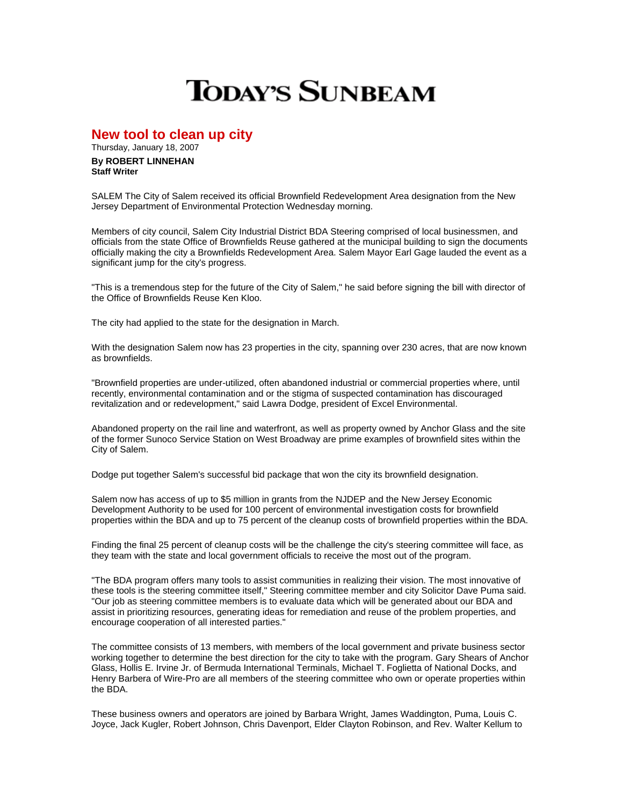## **TODAY'S SUNBEAM**

**New tool to clean up city** 

Thursday, January 18, 2007 **By ROBERT LINNEHAN Staff Writer**

SALEM The City of Salem received its official Brownfield Redevelopment Area designation from the New Jersey Department of Environmental Protection Wednesday morning.

Members of city council, Salem City Industrial District BDA Steering comprised of local businessmen, and officials from the state Office of Brownfields Reuse gathered at the municipal building to sign the documents officially making the city a Brownfields Redevelopment Area. Salem Mayor Earl Gage lauded the event as a significant jump for the city's progress.

"This is a tremendous step for the future of the City of Salem," he said before signing the bill with director of the Office of Brownfields Reuse Ken Kloo.

The city had applied to the state for the designation in March.

With the designation Salem now has 23 properties in the city, spanning over 230 acres, that are now known as brownfields.

"Brownfield properties are under-utilized, often abandoned industrial or commercial properties where, until recently, environmental contamination and or the stigma of suspected contamination has discouraged revitalization and or redevelopment," said Lawra Dodge, president of Excel Environmental.

Abandoned property on the rail line and waterfront, as well as property owned by Anchor Glass and the site of the former Sunoco Service Station on West Broadway are prime examples of brownfield sites within the City of Salem.

Dodge put together Salem's successful bid package that won the city its brownfield designation.

Salem now has access of up to \$5 million in grants from the NJDEP and the New Jersey Economic Development Authority to be used for 100 percent of environmental investigation costs for brownfield properties within the BDA and up to 75 percent of the cleanup costs of brownfield properties within the BDA.

Finding the final 25 percent of cleanup costs will be the challenge the city's steering committee will face, as they team with the state and local government officials to receive the most out of the program.

"The BDA program offers many tools to assist communities in realizing their vision. The most innovative of these tools is the steering committee itself," Steering committee member and city Solicitor Dave Puma said. "Our job as steering committee members is to evaluate data which will be generated about our BDA and assist in prioritizing resources, generating ideas for remediation and reuse of the problem properties, and encourage cooperation of all interested parties."

The committee consists of 13 members, with members of the local government and private business sector working together to determine the best direction for the city to take with the program. Gary Shears of Anchor Glass, Hollis E. Irvine Jr. of Bermuda International Terminals, Michael T. Foglietta of National Docks, and Henry Barbera of Wire-Pro are all members of the steering committee who own or operate properties within the BDA.

These business owners and operators are joined by Barbara Wright, James Waddington, Puma, Louis C. Joyce, Jack Kugler, Robert Johnson, Chris Davenport, Elder Clayton Robinson, and Rev. Walter Kellum to